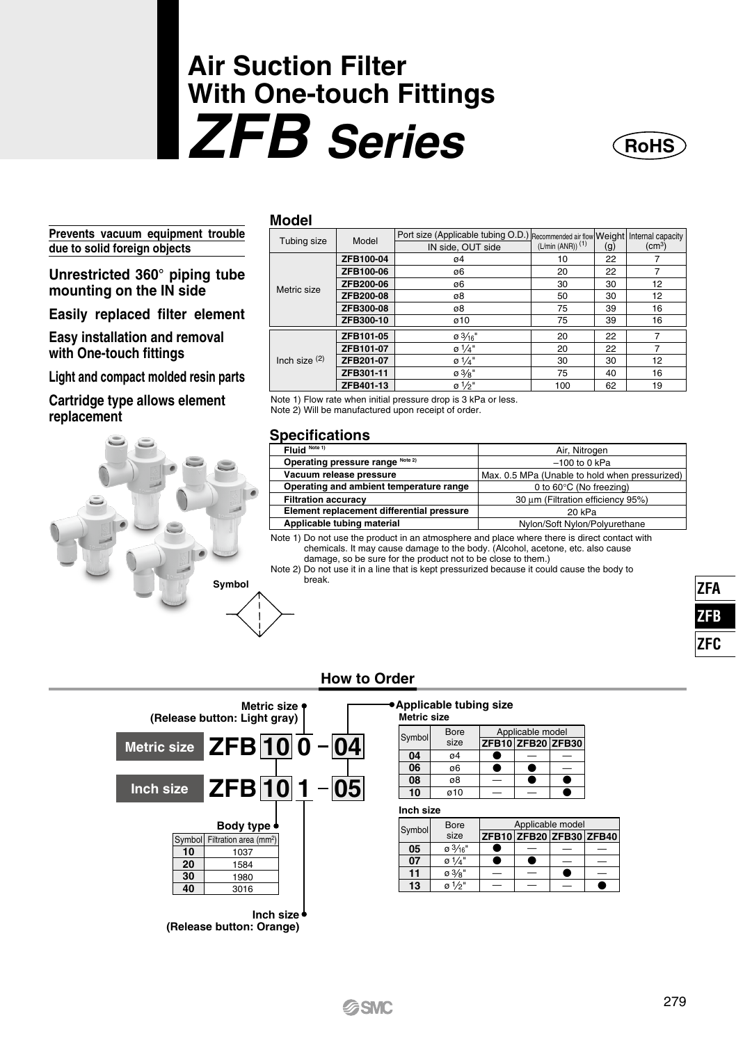# **Air Suction Filter With One-touch Fittings** *ZFB Series*

**Prevents vacuum equipment trouble due to solid foreign objects**

**Unrestricted 360° piping tube mounting on the IN side**

**Easily replaced filter element**

**Easy installation and removal with One-touch fittings**

**Light and compact molded resin parts**

**Cartridge type allows element replacement**



| Model                                                                 |           |                                                                                  |                                |     |                    |
|-----------------------------------------------------------------------|-----------|----------------------------------------------------------------------------------|--------------------------------|-----|--------------------|
| Tubing size                                                           | Model     | Port size (Applicable tubing O.D.) Recommended air flow Weight Internal capacity |                                |     |                    |
|                                                                       |           | IN side, OUT side                                                                | $(L/min (ANR))$ <sup>(1)</sup> | (g) | (cm <sup>3</sup> ) |
| Metric size                                                           | ZFB100-04 | 04                                                                               | 10                             | 22  |                    |
|                                                                       | ZFB100-06 | ø6                                                                               | 20                             | 22  | 7                  |
|                                                                       | ZFB200-06 | ø6                                                                               | 30                             | 30  | 12                 |
|                                                                       | ZFB200-08 | ø8                                                                               | 50                             | 30  | 12                 |
|                                                                       | ZFB300-08 | ø8                                                                               | 75                             | 39  | 16                 |
|                                                                       | ZFB300-10 | ø10                                                                              | 75                             | 39  | 16                 |
|                                                                       | ZFB101-05 | 0.3/16"                                                                          | 20                             | 22  |                    |
| Inch size $(2)$                                                       | ZFB101-07 | $\sigma$ 1/4"                                                                    | 20                             | 22  | 7                  |
|                                                                       | ZFB201-07 | $9^{1/4"}$                                                                       | 30                             | 30  | 12                 |
|                                                                       | ZFB301-11 | $\sigma$ 3/ $\sigma$ "                                                           | 75                             | 40  | 16                 |
|                                                                       | ZFB401-13 | $9^{1/5}$                                                                        | 100                            | 62  | 19                 |
| Minks A) Floor and contrast field and correspondent to A LED contrast |           |                                                                                  |                                |     |                    |

Note 1) Flow rate when initial pressure drop is 3 kPa or less. Note 2) Will be manufactured upon receipt of order.

#### **Specifications**

| Fluid Note 1)                             | Air, Nitrogen                                  |
|-------------------------------------------|------------------------------------------------|
| Operating pressure range Note 2)          | $-100$ to 0 kPa                                |
| Vacuum release pressure                   | Max, 0.5 MPa (Unable to hold when pressurized) |
| Operating and ambient temperature range   | 0 to 60°C (No freezing)                        |
| <b>Filtration accuracy</b>                | 30 um (Filtration efficiency 95%)              |
| Element replacement differential pressure | 20 kPa                                         |
| Applicable tubing material                | Nylon/Soft Nylon/Polyurethane                  |

Note 1) Do not use the product in an atmosphere and place where there is direct contact with chemicals. It may cause damage to the body. (Alcohol, acetone, etc. also cause damage, so be sure for the product not to be close to them.)

Note 2) Do not use it in a line that is kept pressurized because it could cause the body to break.

| 71А    |
|--------|
| 71     |
| 7<br>ŀ |

**RoHS**

#### **How to Order**



#### **Applicable tubing size**

#### **Metric size**

| Symbol | Bore | Applicable model |  |                   |
|--------|------|------------------|--|-------------------|
|        | size |                  |  | ZFB10 ZFB20 ZFB30 |
| 04     | 04   |                  |  |                   |
| 06     | ø6   |                  |  |                   |
| 08     | ø8   |                  |  |                   |
| 10     | ø10  |                  |  |                   |

**Inch size**

| Symbol | Bore      | Applicable model        |  |  |  |
|--------|-----------|-------------------------|--|--|--|
|        | size      | ZFB10 ZFB20 ZFB30 ZFB40 |  |  |  |
| 05     | 0.3/16"   |                         |  |  |  |
| 07     | $0^{1/4}$ |                         |  |  |  |
| 11     | 0.3/8"    |                         |  |  |  |
| 13     | $01/2$ "  | $\qquad \qquad$         |  |  |  |